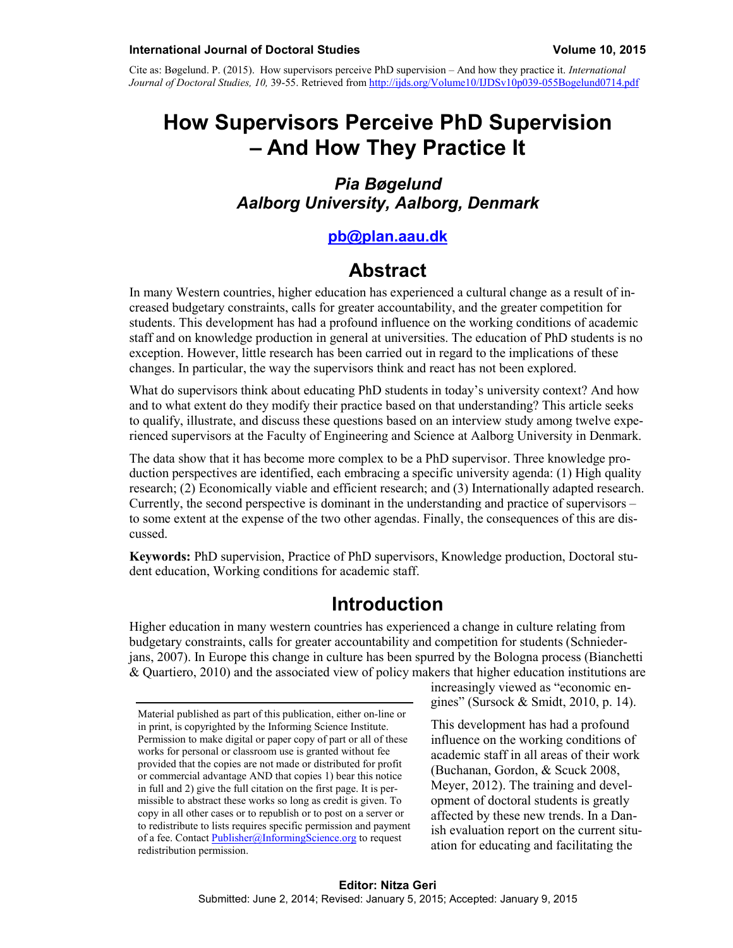Cite as: Bøgelund. P. (2015). How supervisors perceive PhD supervision – And how they practice it. *International Journal of Doctoral Studies, 10,* 39-55. Retrieved fro[m http://ijds.org/Volume10/IJDSv10p039-055Bogelund0714.pdf](http://ijds.org/Volume10/IJDSv10p039-055Bogelund0714.pdf)

# **How Supervisors Perceive PhD Supervision – And How They Practice It**

#### *Pia Bøgelund Aalborg University, Aalborg, Denmark*

#### **[pb@plan.aau.dk](mailto:pb@plan.aau.dk)**

### **Abstract**

In many Western countries, higher education has experienced a cultural change as a result of increased budgetary constraints, calls for greater accountability, and the greater competition for students. This development has had a profound influence on the working conditions of academic staff and on knowledge production in general at universities. The education of PhD students is no exception. However, little research has been carried out in regard to the implications of these changes. In particular, the way the supervisors think and react has not been explored.

What do supervisors think about educating PhD students in today's university context? And how and to what extent do they modify their practice based on that understanding? This article seeks to qualify, illustrate, and discuss these questions based on an interview study among twelve experienced supervisors at the Faculty of Engineering and Science at Aalborg University in Denmark.

The data show that it has become more complex to be a PhD supervisor. Three knowledge production perspectives are identified, each embracing a specific university agenda: (1) High quality research; (2) Economically viable and efficient research; and (3) Internationally adapted research. Currently, the second perspective is dominant in the understanding and practice of supervisors – to some extent at the expense of the two other agendas. Finally, the consequences of this are discussed.

**Keywords:** PhD supervision, Practice of PhD supervisors, Knowledge production, Doctoral student education, Working conditions for academic staff.

### **Introduction**

Higher education in many western countries has experienced a change in culture relating from budgetary constraints, calls for greater accountability and competition for students (Schniederjans, 2007). In Europe this change in culture has been spurred by the Bologna process (Bianchetti & Quartiero, 2010) and the associated view of policy makers that higher education institutions are

increasingly viewed as "economic engines" (Sursock & Smidt, 2010, p. 14).

This development has had a profound influence on the working conditions of academic staff in all areas of their work (Buchanan, Gordon, & Scuck 2008, Meyer, 2012). The training and development of doctoral students is greatly affected by these new trends. In a Danish evaluation report on the current situation for educating and facilitating the

Material published as part of this publication, either on-line or in print, is copyrighted by the Informing Science Institute. Permission to make digital or paper copy of part or all of these works for personal or classroom use is granted without fee provided that the copies are not made or distributed for profit or commercial advantage AND that copies 1) bear this notice in full and 2) give the full citation on the first page. It is permissible to abstract these works so long as credit is given. To copy in all other cases or to republish or to post on a server or to redistribute to lists requires specific permission and payment of a fee. Contact [Publisher@InformingScience.org](mailto:Publisher@InformingScience.org) to request redistribution permission.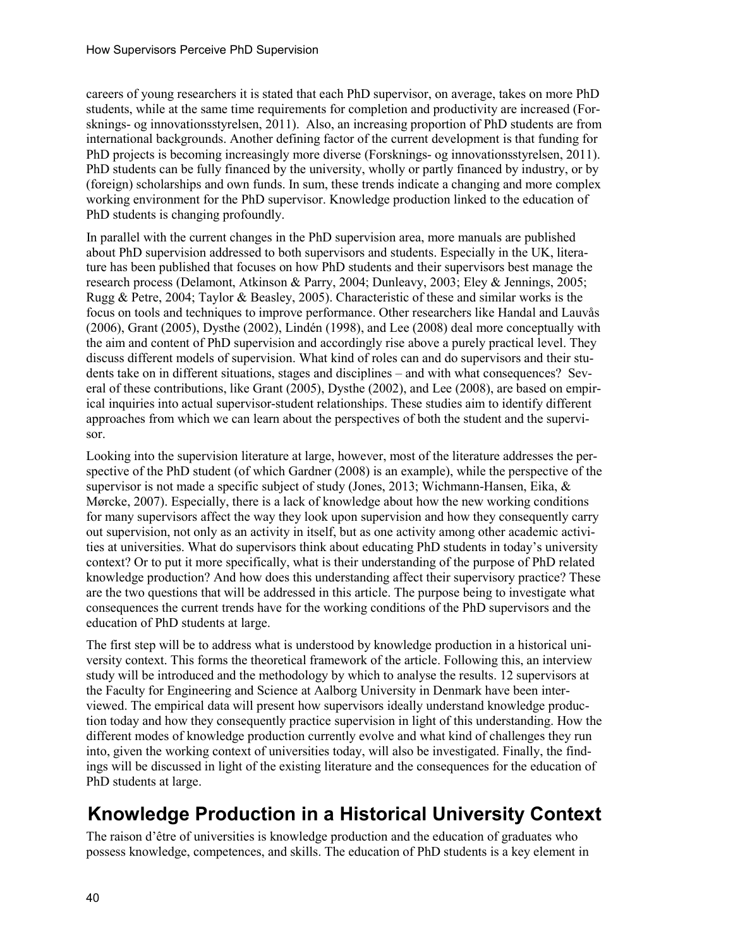careers of young researchers it is stated that each PhD supervisor, on average, takes on more PhD students, while at the same time requirements for completion and productivity are increased (Forsknings- og innovationsstyrelsen, 2011). Also, an increasing proportion of PhD students are from international backgrounds. Another defining factor of the current development is that funding for PhD projects is becoming increasingly more diverse (Forsknings- og innovationsstyrelsen, 2011). PhD students can be fully financed by the university, wholly or partly financed by industry, or by (foreign) scholarships and own funds. In sum, these trends indicate a changing and more complex working environment for the PhD supervisor. Knowledge production linked to the education of PhD students is changing profoundly.

In parallel with the current changes in the PhD supervision area, more manuals are published about PhD supervision addressed to both supervisors and students. Especially in the UK, literature has been published that focuses on how PhD students and their supervisors best manage the research process (Delamont, Atkinson & Parry, 2004; Dunleavy, 2003; Eley & Jennings, 2005; Rugg & Petre, 2004; Taylor & Beasley, 2005). Characteristic of these and similar works is the focus on tools and techniques to improve performance. Other researchers like Handal and Lauvås (2006), Grant (2005), Dysthe (2002), Lindén (1998), and Lee (2008) deal more conceptually with the aim and content of PhD supervision and accordingly rise above a purely practical level. They discuss different models of supervision. What kind of roles can and do supervisors and their students take on in different situations, stages and disciplines – and with what consequences? Several of these contributions, like Grant (2005), Dysthe (2002), and Lee (2008), are based on empirical inquiries into actual supervisor-student relationships. These studies aim to identify different approaches from which we can learn about the perspectives of both the student and the supervisor.

Looking into the supervision literature at large, however, most of the literature addresses the perspective of the PhD student (of which Gardner (2008) is an example), while the perspective of the supervisor is not made a specific subject of study (Jones, 2013; Wichmann-Hansen, Eika, & Mørcke, 2007). Especially, there is a lack of knowledge about how the new working conditions for many supervisors affect the way they look upon supervision and how they consequently carry out supervision, not only as an activity in itself, but as one activity among other academic activities at universities. What do supervisors think about educating PhD students in today's university context? Or to put it more specifically, what is their understanding of the purpose of PhD related knowledge production? And how does this understanding affect their supervisory practice? These are the two questions that will be addressed in this article. The purpose being to investigate what consequences the current trends have for the working conditions of the PhD supervisors and the education of PhD students at large.

The first step will be to address what is understood by knowledge production in a historical university context. This forms the theoretical framework of the article. Following this, an interview study will be introduced and the methodology by which to analyse the results. 12 supervisors at the Faculty for Engineering and Science at Aalborg University in Denmark have been interviewed. The empirical data will present how supervisors ideally understand knowledge production today and how they consequently practice supervision in light of this understanding. How the different modes of knowledge production currently evolve and what kind of challenges they run into, given the working context of universities today, will also be investigated. Finally, the findings will be discussed in light of the existing literature and the consequences for the education of PhD students at large.

# **Knowledge Production in a Historical University Context**

The raison d'être of universities is knowledge production and the education of graduates who possess knowledge, competences, and skills. The education of PhD students is a key element in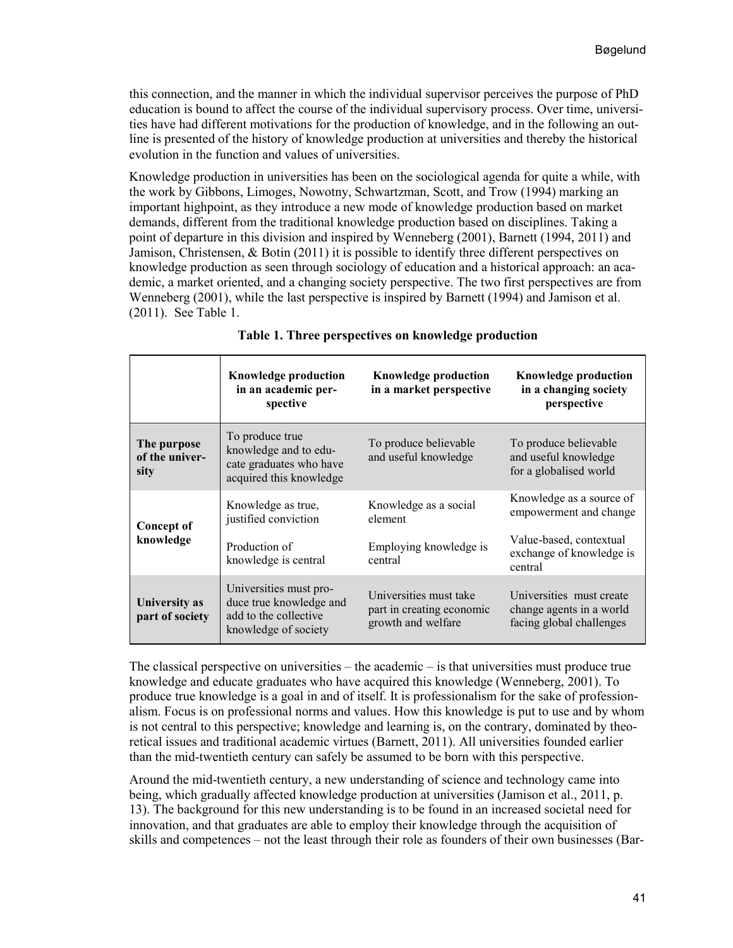this connection, and the manner in which the individual supervisor perceives the purpose of PhD education is bound to affect the course of the individual supervisory process. Over time, universities have had different motivations for the production of knowledge, and in the following an outline is presented of the history of knowledge production at universities and thereby the historical evolution in the function and values of universities.

Knowledge production in universities has been on the sociological agenda for quite a while, with the work by Gibbons, Limoges, Nowotny, Schwartzman, Scott, and Trow (1994) marking an important highpoint, as they introduce a new mode of knowledge production based on market demands, different from the traditional knowledge production based on disciplines. Taking a point of departure in this division and inspired by Wenneberg (2001), Barnett (1994, 2011) and Jamison, Christensen, & Botin (2011) it is possible to identify three different perspectives on knowledge production as seen through sociology of education and a historical approach: an academic, a market oriented, and a changing society perspective. The two first perspectives are from Wenneberg (2001), while the last perspective is inspired by Barnett (1994) and Jamison et al. (2011). See Table 1.

|                                       | <b>Knowledge production</b><br>in an academic per-<br>spective                                     | <b>Knowledge production</b><br>in a market perspective                    | <b>Knowledge production</b><br>in a changing society<br>perspective              |
|---------------------------------------|----------------------------------------------------------------------------------------------------|---------------------------------------------------------------------------|----------------------------------------------------------------------------------|
| The purpose<br>of the univer-<br>sity | To produce true<br>knowledge and to edu-<br>cate graduates who have<br>acquired this knowledge     | To produce believable<br>and useful knowledge                             | To produce believable<br>and useful knowledge<br>for a globalised world          |
| Concept of<br>knowledge               | Knowledge as true,<br>justified conviction                                                         | Knowledge as a social<br>element                                          | Knowledge as a source of<br>empowerment and change                               |
|                                       | Production of<br>knowledge is central                                                              | Employing knowledge is<br>central                                         | Value-based, contextual<br>exchange of knowledge is<br>central                   |
| University as<br>part of society      | Universities must pro-<br>duce true knowledge and<br>add to the collective<br>knowledge of society | Universities must take<br>part in creating economic<br>growth and welfare | Universities must create<br>change agents in a world<br>facing global challenges |

|  |  | Table 1. Three perspectives on knowledge production |  |  |  |
|--|--|-----------------------------------------------------|--|--|--|
|--|--|-----------------------------------------------------|--|--|--|

The classical perspective on universities – the academic – is that universities must produce true knowledge and educate graduates who have acquired this knowledge (Wenneberg, 2001). To produce true knowledge is a goal in and of itself. It is professionalism for the sake of professionalism. Focus is on professional norms and values. How this knowledge is put to use and by whom is not central to this perspective; knowledge and learning is, on the contrary, dominated by theoretical issues and traditional academic virtues (Barnett, 2011). All universities founded earlier than the mid-twentieth century can safely be assumed to be born with this perspective.

Around the mid-twentieth century, a new understanding of science and technology came into being, which gradually affected knowledge production at universities (Jamison et al., 2011, p. 13). The background for this new understanding is to be found in an increased societal need for innovation, and that graduates are able to employ their knowledge through the acquisition of skills and competences – not the least through their role as founders of their own businesses (Bar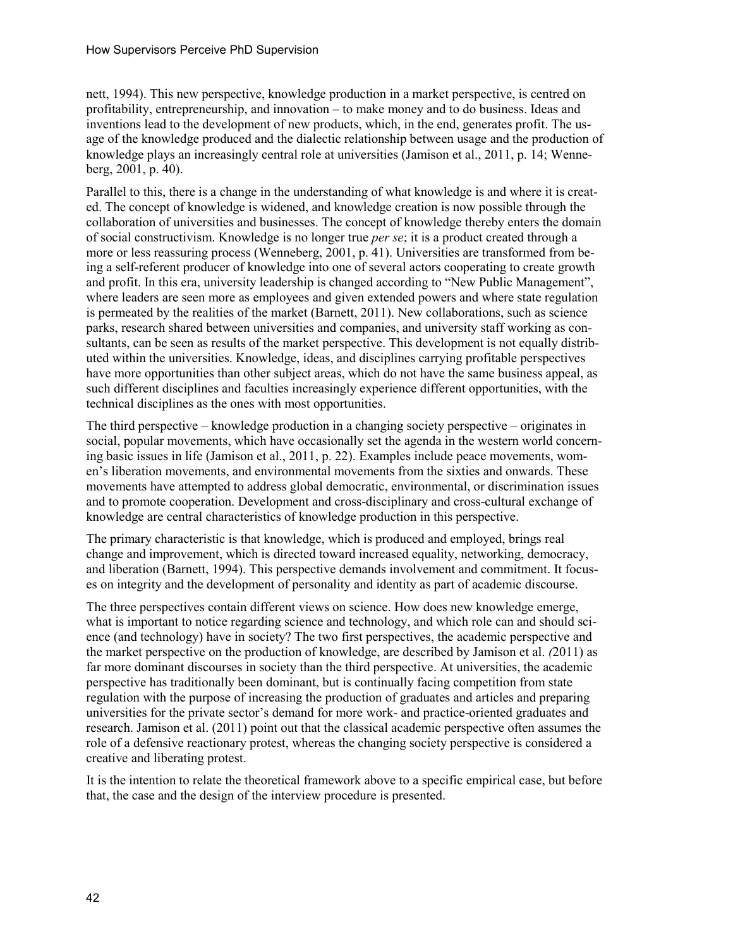nett, 1994). This new perspective, knowledge production in a market perspective, is centred on profitability, entrepreneurship, and innovation – to make money and to do business. Ideas and inventions lead to the development of new products, which, in the end, generates profit. The usage of the knowledge produced and the dialectic relationship between usage and the production of knowledge plays an increasingly central role at universities (Jamison et al., 2011, p. 14; Wenneberg, 2001, p. 40).

Parallel to this, there is a change in the understanding of what knowledge is and where it is created. The concept of knowledge is widened, and knowledge creation is now possible through the collaboration of universities and businesses. The concept of knowledge thereby enters the domain of social constructivism. Knowledge is no longer true *per se*; it is a product created through a more or less reassuring process (Wenneberg, 2001, p. 41). Universities are transformed from being a self-referent producer of knowledge into one of several actors cooperating to create growth and profit. In this era, university leadership is changed according to "New Public Management", where leaders are seen more as employees and given extended powers and where state regulation is permeated by the realities of the market (Barnett, 2011). New collaborations, such as science parks, research shared between universities and companies, and university staff working as consultants, can be seen as results of the market perspective. This development is not equally distributed within the universities. Knowledge, ideas, and disciplines carrying profitable perspectives have more opportunities than other subject areas, which do not have the same business appeal, as such different disciplines and faculties increasingly experience different opportunities, with the technical disciplines as the ones with most opportunities.

The third perspective – knowledge production in a changing society perspective – originates in social, popular movements, which have occasionally set the agenda in the western world concerning basic issues in life (Jamison et al., 2011, p. 22). Examples include peace movements, women's liberation movements, and environmental movements from the sixties and onwards. These movements have attempted to address global democratic, environmental, or discrimination issues and to promote cooperation. Development and cross-disciplinary and cross-cultural exchange of knowledge are central characteristics of knowledge production in this perspective.

The primary characteristic is that knowledge, which is produced and employed, brings real change and improvement, which is directed toward increased equality, networking, democracy, and liberation (Barnett, 1994). This perspective demands involvement and commitment. It focuses on integrity and the development of personality and identity as part of academic discourse.

The three perspectives contain different views on science. How does new knowledge emerge, what is important to notice regarding science and technology, and which role can and should science (and technology) have in society? The two first perspectives, the academic perspective and the market perspective on the production of knowledge, are described by Jamison et al. *(*2011) as far more dominant discourses in society than the third perspective. At universities, the academic perspective has traditionally been dominant, but is continually facing competition from state regulation with the purpose of increasing the production of graduates and articles and preparing universities for the private sector's demand for more work- and practice-oriented graduates and research. Jamison et al. (2011) point out that the classical academic perspective often assumes the role of a defensive reactionary protest, whereas the changing society perspective is considered a creative and liberating protest.

It is the intention to relate the theoretical framework above to a specific empirical case, but before that, the case and the design of the interview procedure is presented.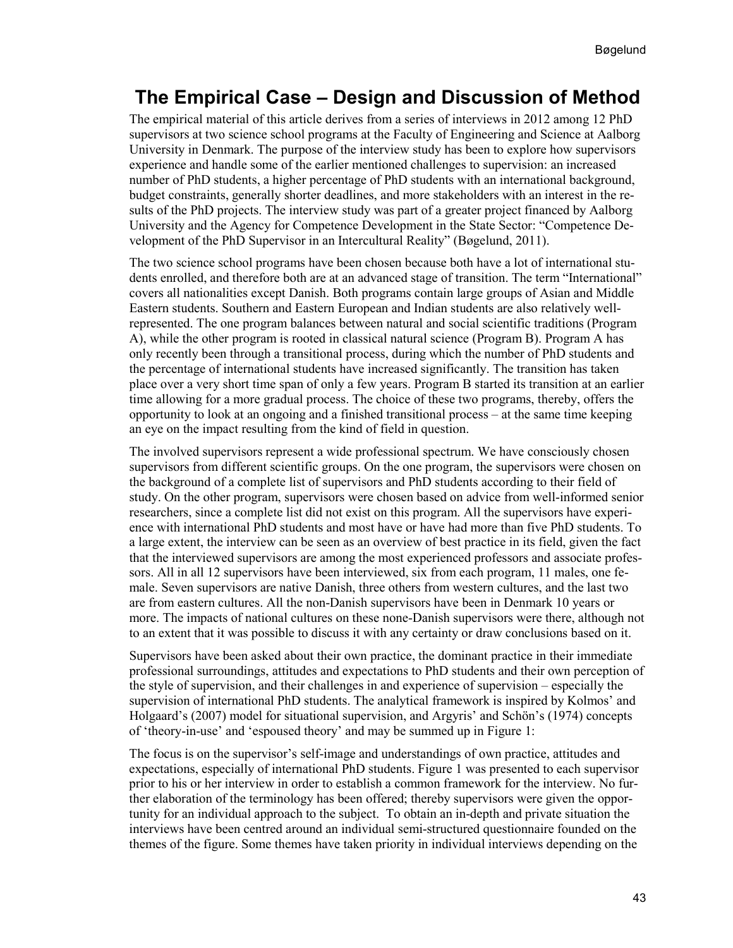## **The Empirical Case – Design and Discussion of Method**

The empirical material of this article derives from a series of interviews in 2012 among 12 PhD supervisors at two science school programs at the Faculty of Engineering and Science at Aalborg University in Denmark. The purpose of the interview study has been to explore how supervisors experience and handle some of the earlier mentioned challenges to supervision: an increased number of PhD students, a higher percentage of PhD students with an international background, budget constraints, generally shorter deadlines, and more stakeholders with an interest in the results of the PhD projects. The interview study was part of a greater project financed by Aalborg University and the Agency for Competence Development in the State Sector: "Competence Development of the PhD Supervisor in an Intercultural Reality" (Bøgelund, 2011).

The two science school programs have been chosen because both have a lot of international students enrolled, and therefore both are at an advanced stage of transition. The term "International" covers all nationalities except Danish. Both programs contain large groups of Asian and Middle Eastern students. Southern and Eastern European and Indian students are also relatively wellrepresented. The one program balances between natural and social scientific traditions (Program A), while the other program is rooted in classical natural science (Program B). Program A has only recently been through a transitional process, during which the number of PhD students and the percentage of international students have increased significantly. The transition has taken place over a very short time span of only a few years. Program B started its transition at an earlier time allowing for a more gradual process. The choice of these two programs, thereby, offers the opportunity to look at an ongoing and a finished transitional process – at the same time keeping an eye on the impact resulting from the kind of field in question.

The involved supervisors represent a wide professional spectrum. We have consciously chosen supervisors from different scientific groups. On the one program, the supervisors were chosen on the background of a complete list of supervisors and PhD students according to their field of study. On the other program, supervisors were chosen based on advice from well-informed senior researchers, since a complete list did not exist on this program. All the supervisors have experience with international PhD students and most have or have had more than five PhD students. To a large extent, the interview can be seen as an overview of best practice in its field, given the fact that the interviewed supervisors are among the most experienced professors and associate professors. All in all 12 supervisors have been interviewed, six from each program, 11 males, one female. Seven supervisors are native Danish, three others from western cultures, and the last two are from eastern cultures. All the non-Danish supervisors have been in Denmark 10 years or more. The impacts of national cultures on these none-Danish supervisors were there, although not to an extent that it was possible to discuss it with any certainty or draw conclusions based on it.

Supervisors have been asked about their own practice, the dominant practice in their immediate professional surroundings, attitudes and expectations to PhD students and their own perception of the style of supervision, and their challenges in and experience of supervision – especially the supervision of international PhD students. The analytical framework is inspired by Kolmos' and Holgaard's (2007) model for situational supervision, and Argyris' and Schön's (1974) concepts of 'theory-in-use' and 'espoused theory' and may be summed up in Figure 1:

The focus is on the supervisor's self-image and understandings of own practice, attitudes and expectations, especially of international PhD students. Figure 1 was presented to each supervisor prior to his or her interview in order to establish a common framework for the interview. No further elaboration of the terminology has been offered; thereby supervisors were given the opportunity for an individual approach to the subject. To obtain an in-depth and private situation the interviews have been centred around an individual semi-structured questionnaire founded on the themes of the figure. Some themes have taken priority in individual interviews depending on the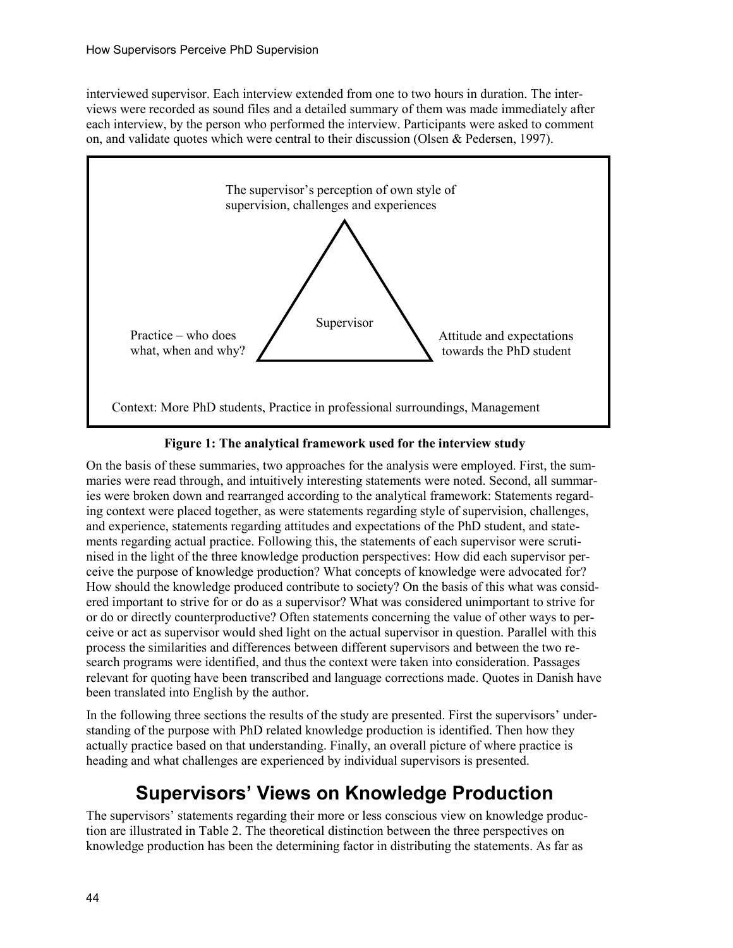interviewed supervisor. Each interview extended from one to two hours in duration. The interviews were recorded as sound files and a detailed summary of them was made immediately after each interview, by the person who performed the interview. Participants were asked to comment on, and validate quotes which were central to their discussion (Olsen & Pedersen, 1997).



#### **Figure 1: The analytical framework used for the interview study**

On the basis of these summaries, two approaches for the analysis were employed. First, the summaries were read through, and intuitively interesting statements were noted. Second, all summaries were broken down and rearranged according to the analytical framework: Statements regarding context were placed together, as were statements regarding style of supervision, challenges, and experience, statements regarding attitudes and expectations of the PhD student, and statements regarding actual practice. Following this, the statements of each supervisor were scrutinised in the light of the three knowledge production perspectives: How did each supervisor perceive the purpose of knowledge production? What concepts of knowledge were advocated for? How should the knowledge produced contribute to society? On the basis of this what was considered important to strive for or do as a supervisor? What was considered unimportant to strive for or do or directly counterproductive? Often statements concerning the value of other ways to perceive or act as supervisor would shed light on the actual supervisor in question. Parallel with this process the similarities and differences between different supervisors and between the two research programs were identified, and thus the context were taken into consideration. Passages relevant for quoting have been transcribed and language corrections made. Quotes in Danish have been translated into English by the author.

In the following three sections the results of the study are presented. First the supervisors' understanding of the purpose with PhD related knowledge production is identified. Then how they actually practice based on that understanding. Finally, an overall picture of where practice is heading and what challenges are experienced by individual supervisors is presented.

## **Supervisors' Views on Knowledge Production**

The supervisors' statements regarding their more or less conscious view on knowledge production are illustrated in Table 2. The theoretical distinction between the three perspectives on knowledge production has been the determining factor in distributing the statements. As far as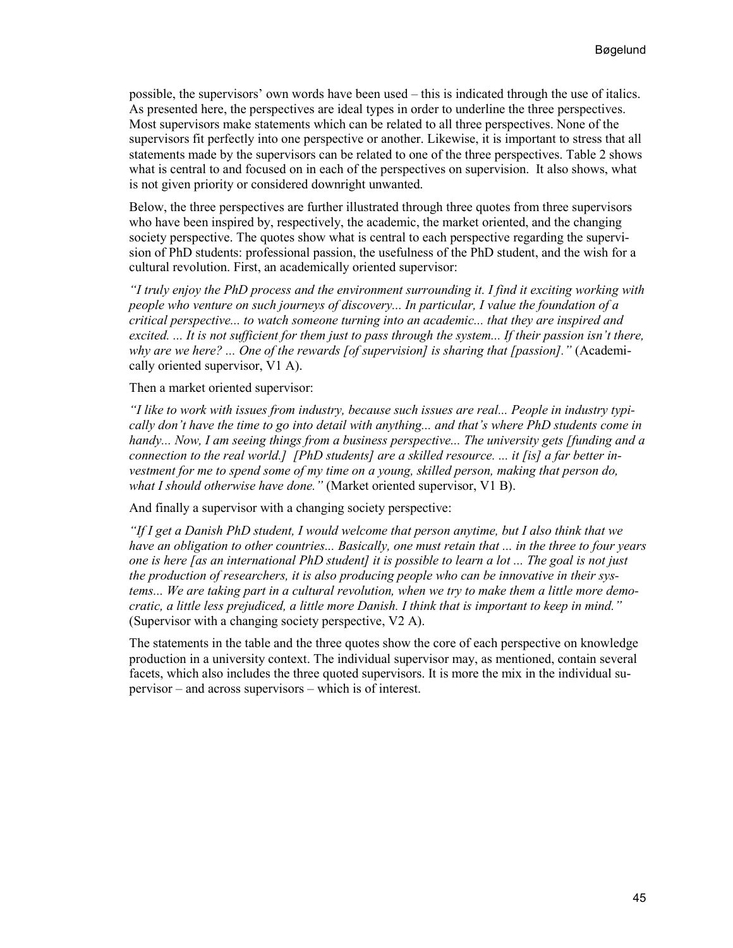possible, the supervisors' own words have been used – this is indicated through the use of italics. As presented here, the perspectives are ideal types in order to underline the three perspectives. Most supervisors make statements which can be related to all three perspectives. None of the supervisors fit perfectly into one perspective or another. Likewise, it is important to stress that all statements made by the supervisors can be related to one of the three perspectives. Table 2 shows what is central to and focused on in each of the perspectives on supervision. It also shows, what is not given priority or considered downright unwanted.

Below, the three perspectives are further illustrated through three quotes from three supervisors who have been inspired by, respectively, the academic, the market oriented, and the changing society perspective. The quotes show what is central to each perspective regarding the supervision of PhD students: professional passion, the usefulness of the PhD student, and the wish for a cultural revolution. First, an academically oriented supervisor:

*"I truly enjoy the PhD process and the environment surrounding it. I find it exciting working with people who venture on such journeys of discovery... In particular, I value the foundation of a critical perspective... to watch someone turning into an academic... that they are inspired and excited. ... It is not sufficient for them just to pass through the system... If their passion isn't there, why are we here? ... One of the rewards [of supervision] is sharing that [passion]."* (Academically oriented supervisor, V1 A).

Then a market oriented supervisor:

*"I like to work with issues from industry, because such issues are real... People in industry typically don't have the time to go into detail with anything... and that's where PhD students come in handy... Now, I am seeing things from a business perspective... The university gets [funding and a connection to the real world.] [PhD students] are a skilled resource. ... it [is] a far better investment for me to spend some of my time on a young, skilled person, making that person do, what I should otherwise have done."* (Market oriented supervisor, V1 B).

And finally a supervisor with a changing society perspective:

*"If I get a Danish PhD student, I would welcome that person anytime, but I also think that we have an obligation to other countries... Basically, one must retain that ... in the three to four years one is here [as an international PhD student] it is possible to learn a lot ... The goal is not just the production of researchers, it is also producing people who can be innovative in their systems... We are taking part in a cultural revolution, when we try to make them a little more democratic, a little less prejudiced, a little more Danish. I think that is important to keep in mind."* (Supervisor with a changing society perspective, V2 A).

The statements in the table and the three quotes show the core of each perspective on knowledge production in a university context. The individual supervisor may, as mentioned, contain several facets, which also includes the three quoted supervisors. It is more the mix in the individual supervisor – and across supervisors – which is of interest.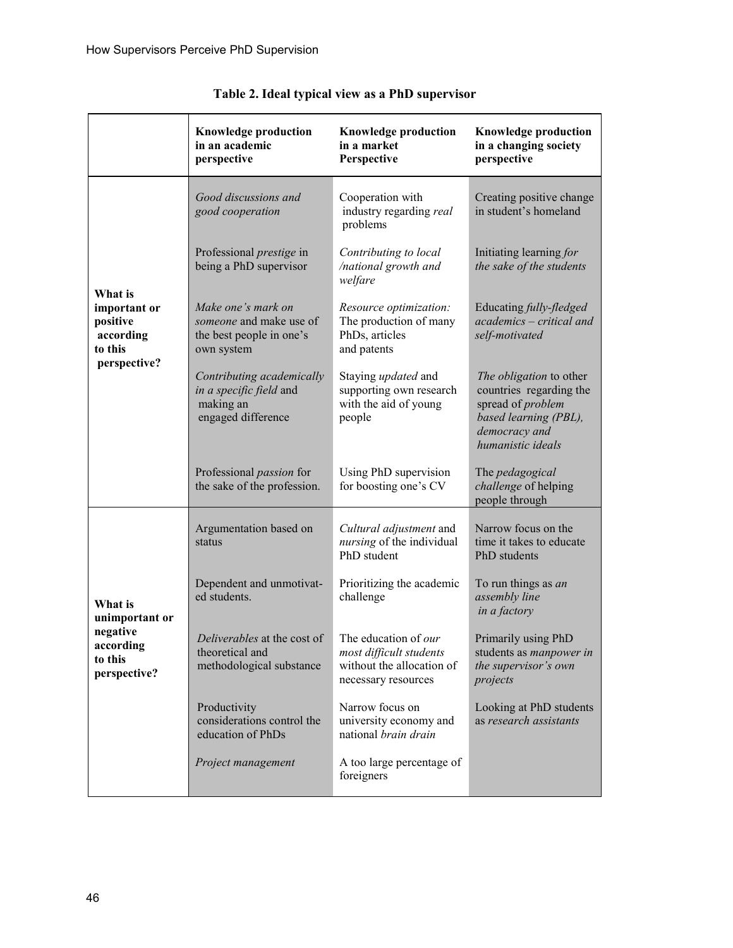|                                                             | <b>Knowledge production</b><br>in an academic<br>perspective                            | <b>Knowledge production</b><br>in a market<br>Perspective                                           | <b>Knowledge production</b><br>in a changing society<br>perspective                                                                           |
|-------------------------------------------------------------|-----------------------------------------------------------------------------------------|-----------------------------------------------------------------------------------------------------|-----------------------------------------------------------------------------------------------------------------------------------------------|
|                                                             | Good discussions and<br>good cooperation                                                | Cooperation with<br>industry regarding real<br>problems                                             | Creating positive change<br>in student's homeland                                                                                             |
|                                                             | Professional <i>prestige</i> in<br>being a PhD supervisor                               | Contributing to local<br>/national growth and<br>welfare                                            | Initiating learning for<br>the sake of the students                                                                                           |
| What is<br>important or<br>positive<br>according<br>to this | Make one's mark on<br>someone and make use of<br>the best people in one's<br>own system | Resource optimization:<br>The production of many<br>PhDs, articles<br>and patents                   | Educating fully-fledged<br>academics - critical and<br>self-motivated                                                                         |
| perspective?                                                | Contributing academically<br>in a specific field and<br>making an<br>engaged difference | Staying updated and<br>supporting own research<br>with the aid of young<br>people                   | The obligation to other<br>countries regarding the<br>spread of <i>problem</i><br>based learning (PBL),<br>democracy and<br>humanistic ideals |
|                                                             | Professional <i>passion</i> for<br>the sake of the profession.                          | Using PhD supervision<br>for boosting one's CV                                                      | The pedagogical<br>challenge of helping<br>people through                                                                                     |
|                                                             | Argumentation based on<br>status                                                        | Cultural adjustment and<br>nursing of the individual<br>PhD student                                 | Narrow focus on the<br>time it takes to educate<br>PhD students                                                                               |
| What is<br>unimportant or                                   | Dependent and unmotivat-<br>ed students.                                                | Prioritizing the academic<br>challenge                                                              | To run things as an<br>assembly line<br>in a factory                                                                                          |
| negative<br>according<br>to this<br>perspective?            | Deliverables at the cost of<br>theoretical and<br>methodological substance              | The education of our<br>most difficult students<br>without the allocation of<br>necessary resources | Primarily using PhD<br>students as manpower in<br>the supervisor's own<br>projects                                                            |
|                                                             | Productivity<br>considerations control the<br>education of PhDs                         | Narrow focus on<br>university economy and<br>national <i>brain</i> drain                            | Looking at PhD students<br>as research assistants                                                                                             |
|                                                             | Project management                                                                      | A too large percentage of<br>foreigners                                                             |                                                                                                                                               |

|  |  |  |  |  |  | Table 2. Ideal typical view as a PhD supervisor |
|--|--|--|--|--|--|-------------------------------------------------|
|--|--|--|--|--|--|-------------------------------------------------|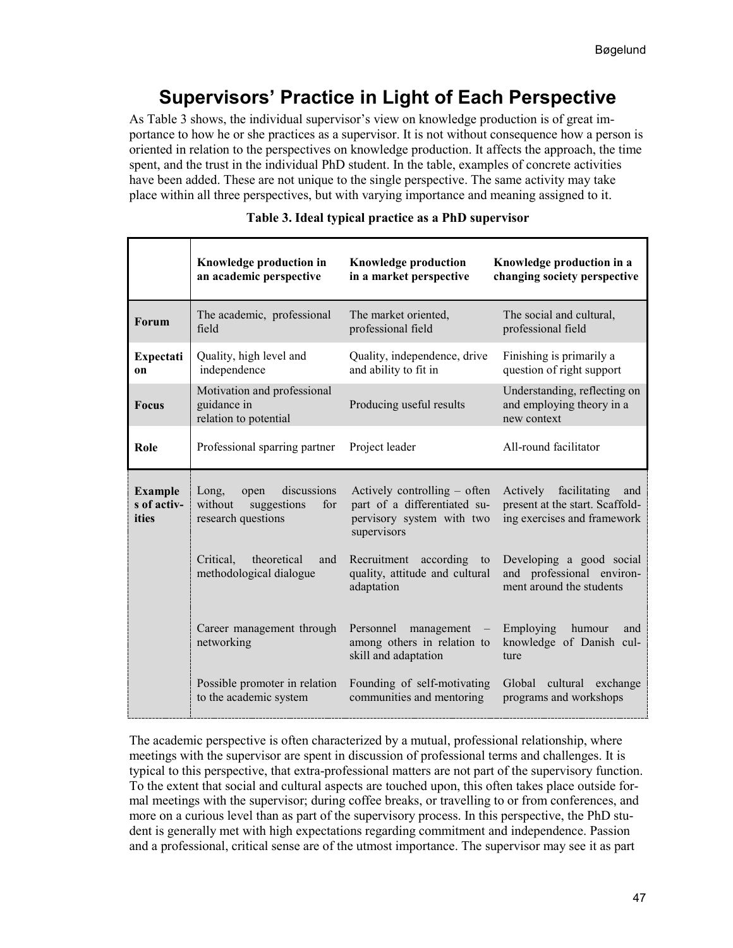# **Supervisors' Practice in Light of Each Perspective**

As Table 3 shows, the individual supervisor's view on knowledge production is of great importance to how he or she practices as a supervisor. It is not without consequence how a person is oriented in relation to the perspectives on knowledge production. It affects the approach, the time spent, and the trust in the individual PhD student. In the table, examples of concrete activities have been added. These are not unique to the single perspective. The same activity may take place within all three perspectives, but with varying importance and meaning assigned to it.

|                                        | Knowledge production in<br>an academic perspective                                  | <b>Knowledge production</b><br>in a market perspective                                                   | Knowledge production in a<br>changing society perspective                                         |
|----------------------------------------|-------------------------------------------------------------------------------------|----------------------------------------------------------------------------------------------------------|---------------------------------------------------------------------------------------------------|
| Forum                                  | The academic, professional<br>field                                                 | The market oriented,<br>professional field                                                               | The social and cultural,<br>professional field                                                    |
| <b>Expectati</b><br>on                 | Quality, high level and<br>independence                                             | Quality, independence, drive<br>and ability to fit in                                                    | Finishing is primarily a<br>question of right support                                             |
| <b>Focus</b>                           | Motivation and professional<br>guidance in<br>relation to potential                 | Producing useful results                                                                                 | Understanding, reflecting on<br>and employing theory in a<br>new context                          |
| Role                                   | Professional sparring partner                                                       | Project leader                                                                                           | All-round facilitator                                                                             |
| <b>Example</b><br>s of activ-<br>ities | Long,<br>discussions<br>open<br>without<br>suggestions<br>for<br>research questions | Actively controlling – often<br>part of a differentiated su-<br>pervisory system with two<br>supervisors | Actively<br>facilitating<br>and<br>present at the start. Scaffold-<br>ing exercises and framework |
|                                        | Critical.<br>theoretical<br>and<br>methodological dialogue                          | Recruitment<br>according to<br>quality, attitude and cultural<br>adaptation                              | Developing a good social<br>and professional environ-<br>ment around the students                 |
|                                        | Career management through<br>networking                                             | Personnel<br>management<br>among others in relation to<br>skill and adaptation                           | Employing<br>humour<br>and<br>knowledge of Danish cul-<br>ture                                    |
|                                        | Possible promoter in relation<br>to the academic system                             | Founding of self-motivating<br>communities and mentoring                                                 | Global cultural exchange<br>programs and workshops                                                |

#### **Table 3. Ideal typical practice as a PhD supervisor**

The academic perspective is often characterized by a mutual, professional relationship, where meetings with the supervisor are spent in discussion of professional terms and challenges. It is typical to this perspective, that extra-professional matters are not part of the supervisory function. To the extent that social and cultural aspects are touched upon, this often takes place outside formal meetings with the supervisor; during coffee breaks, or travelling to or from conferences, and more on a curious level than as part of the supervisory process. In this perspective, the PhD student is generally met with high expectations regarding commitment and independence. Passion and a professional, critical sense are of the utmost importance. The supervisor may see it as part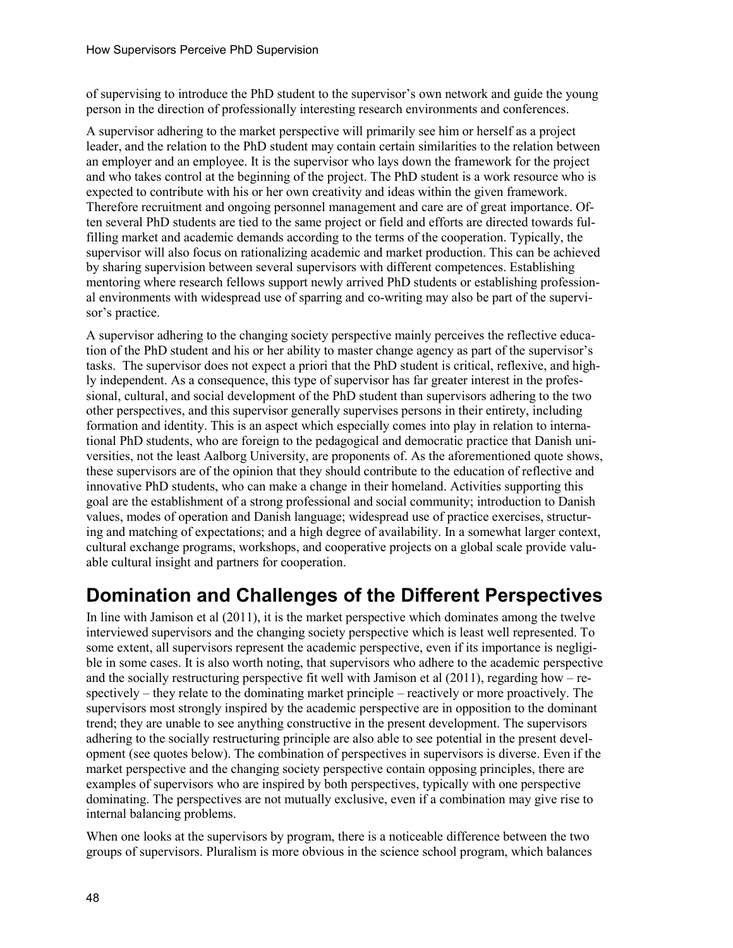of supervising to introduce the PhD student to the supervisor's own network and guide the young person in the direction of professionally interesting research environments and conferences.

A supervisor adhering to the market perspective will primarily see him or herself as a project leader, and the relation to the PhD student may contain certain similarities to the relation between an employer and an employee. It is the supervisor who lays down the framework for the project and who takes control at the beginning of the project. The PhD student is a work resource who is expected to contribute with his or her own creativity and ideas within the given framework. Therefore recruitment and ongoing personnel management and care are of great importance. Often several PhD students are tied to the same project or field and efforts are directed towards fulfilling market and academic demands according to the terms of the cooperation. Typically, the supervisor will also focus on rationalizing academic and market production. This can be achieved by sharing supervision between several supervisors with different competences. Establishing mentoring where research fellows support newly arrived PhD students or establishing professional environments with widespread use of sparring and co-writing may also be part of the supervisor's practice.

A supervisor adhering to the changing society perspective mainly perceives the reflective education of the PhD student and his or her ability to master change agency as part of the supervisor's tasks. The supervisor does not expect a priori that the PhD student is critical, reflexive, and highly independent. As a consequence, this type of supervisor has far greater interest in the professional, cultural, and social development of the PhD student than supervisors adhering to the two other perspectives, and this supervisor generally supervises persons in their entirety, including formation and identity. This is an aspect which especially comes into play in relation to international PhD students, who are foreign to the pedagogical and democratic practice that Danish universities, not the least Aalborg University, are proponents of. As the aforementioned quote shows, these supervisors are of the opinion that they should contribute to the education of reflective and innovative PhD students, who can make a change in their homeland. Activities supporting this goal are the establishment of a strong professional and social community; introduction to Danish values, modes of operation and Danish language; widespread use of practice exercises, structuring and matching of expectations; and a high degree of availability. In a somewhat larger context, cultural exchange programs, workshops, and cooperative projects on a global scale provide valuable cultural insight and partners for cooperation.

## **Domination and Challenges of the Different Perspectives**

In line with Jamison et al (2011), it is the market perspective which dominates among the twelve interviewed supervisors and the changing society perspective which is least well represented. To some extent, all supervisors represent the academic perspective, even if its importance is negligible in some cases. It is also worth noting, that supervisors who adhere to the academic perspective and the socially restructuring perspective fit well with Jamison et al  $(2011)$ , regarding how – respectively – they relate to the dominating market principle – reactively or more proactively. The supervisors most strongly inspired by the academic perspective are in opposition to the dominant trend; they are unable to see anything constructive in the present development. The supervisors adhering to the socially restructuring principle are also able to see potential in the present development (see quotes below). The combination of perspectives in supervisors is diverse. Even if the market perspective and the changing society perspective contain opposing principles, there are examples of supervisors who are inspired by both perspectives, typically with one perspective dominating. The perspectives are not mutually exclusive, even if a combination may give rise to internal balancing problems.

When one looks at the supervisors by program, there is a noticeable difference between the two groups of supervisors. Pluralism is more obvious in the science school program, which balances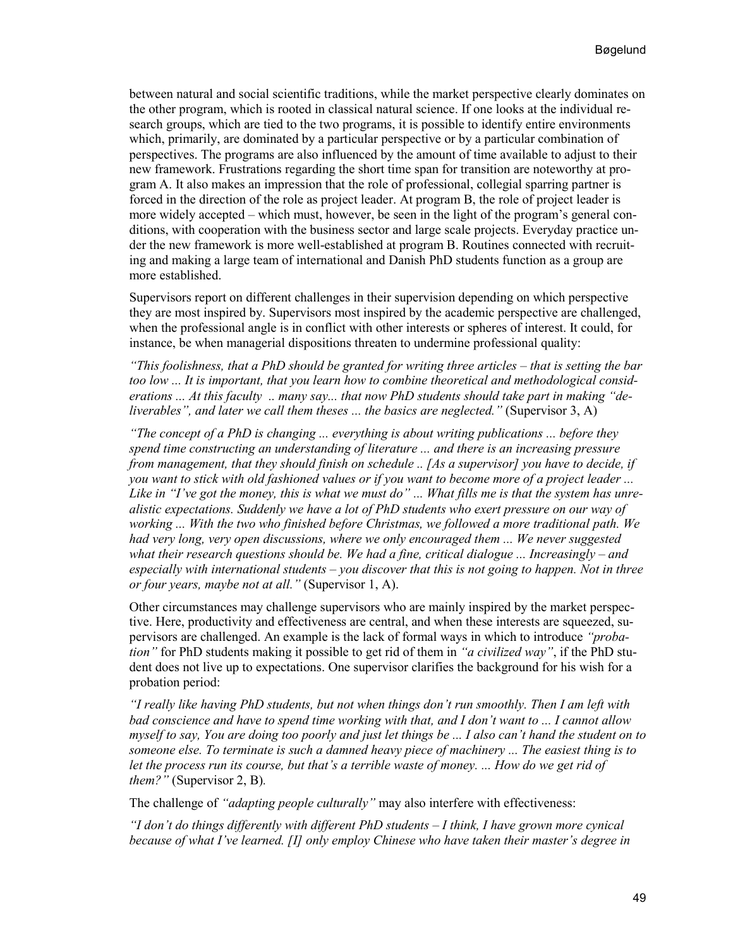between natural and social scientific traditions, while the market perspective clearly dominates on the other program, which is rooted in classical natural science. If one looks at the individual research groups, which are tied to the two programs, it is possible to identify entire environments which, primarily, are dominated by a particular perspective or by a particular combination of perspectives. The programs are also influenced by the amount of time available to adjust to their new framework. Frustrations regarding the short time span for transition are noteworthy at program A. It also makes an impression that the role of professional, collegial sparring partner is forced in the direction of the role as project leader. At program B, the role of project leader is more widely accepted – which must, however, be seen in the light of the program's general conditions, with cooperation with the business sector and large scale projects. Everyday practice under the new framework is more well-established at program B. Routines connected with recruiting and making a large team of international and Danish PhD students function as a group are more established.

Supervisors report on different challenges in their supervision depending on which perspective they are most inspired by. Supervisors most inspired by the academic perspective are challenged, when the professional angle is in conflict with other interests or spheres of interest. It could, for instance, be when managerial dispositions threaten to undermine professional quality:

*"This foolishness, that a PhD should be granted for writing three articles – that is setting the bar too low ... It is important, that you learn how to combine theoretical and methodological considerations ... At this faculty .. many say... that now PhD students should take part in making "deliverables", and later we call them theses ... the basics are neglected."* (Supervisor 3, A)

*"The concept of a PhD is changing ... everything is about writing publications ... before they spend time constructing an understanding of literature ... and there is an increasing pressure from management, that they should finish on schedule .. [As a supervisor] you have to decide, if you want to stick with old fashioned values or if you want to become more of a project leader ... Like in "I've got the money, this is what we must do" ... What fills me is that the system has unrealistic expectations. Suddenly we have a lot of PhD students who exert pressure on our way of working ... With the two who finished before Christmas, we followed a more traditional path. We had very long, very open discussions, where we only encouraged them ... We never suggested what their research questions should be. We had a fine, critical dialogue ... Increasingly – and especially with international students – you discover that this is not going to happen. Not in three or four years, maybe not at all."* (Supervisor 1, A).

Other circumstances may challenge supervisors who are mainly inspired by the market perspective. Here, productivity and effectiveness are central, and when these interests are squeezed, supervisors are challenged. An example is the lack of formal ways in which to introduce *"probation"* for PhD students making it possible to get rid of them in *"a civilized way"*, if the PhD student does not live up to expectations. One supervisor clarifies the background for his wish for a probation period:

*"I really like having PhD students, but not when things don't run smoothly. Then I am left with bad conscience and have to spend time working with that, and I don't want to ... I cannot allow myself to say, You are doing too poorly and just let things be ... I also can't hand the student on to someone else. To terminate is such a damned heavy piece of machinery ... The easiest thing is to*  let the process run its course, but that's a terrible waste of money. ... How do we get rid of *them?"* (Supervisor 2, B)*.*

The challenge of *"adapting people culturally"* may also interfere with effectiveness:

*"I don't do things differently with different PhD students – I think, I have grown more cynical because of what I've learned. [I] only employ Chinese who have taken their master's degree in*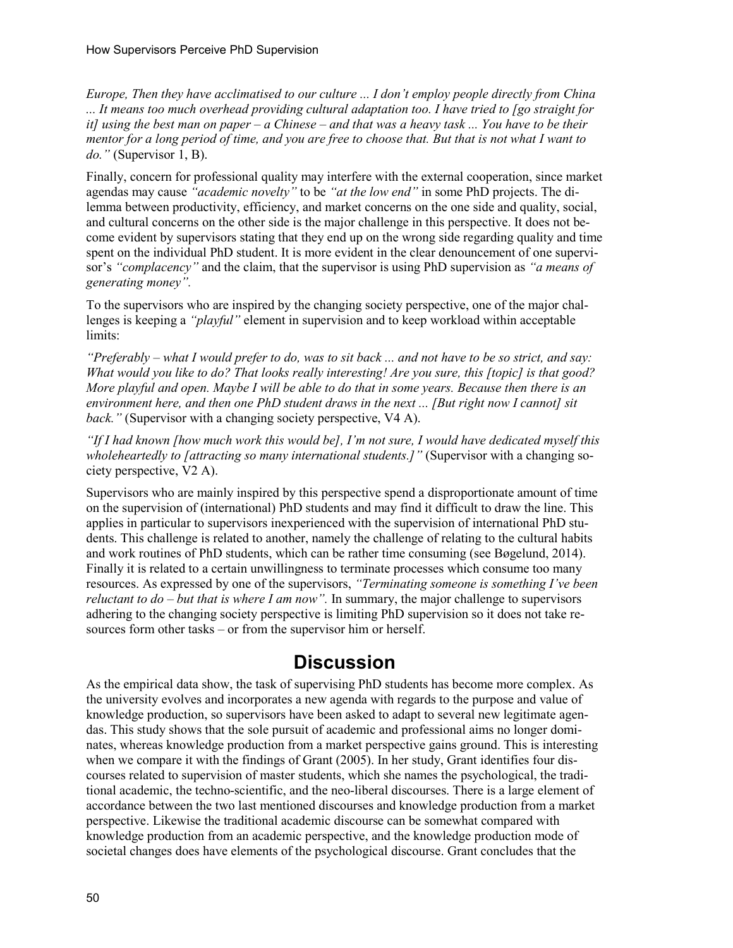*Europe, Then they have acclimatised to our culture ... I don't employ people directly from China ... It means too much overhead providing cultural adaptation too. I have tried to [go straight for it] using the best man on paper – a Chinese – and that was a heavy task ... You have to be their mentor for a long period of time, and you are free to choose that. But that is not what I want to do."* (Supervisor 1, B).

Finally, concern for professional quality may interfere with the external cooperation, since market agendas may cause *"academic novelty"* to be *"at the low end"* in some PhD projects. The dilemma between productivity, efficiency, and market concerns on the one side and quality, social, and cultural concerns on the other side is the major challenge in this perspective. It does not become evident by supervisors stating that they end up on the wrong side regarding quality and time spent on the individual PhD student. It is more evident in the clear denouncement of one supervisor's *"complacency"* and the claim, that the supervisor is using PhD supervision as *"a means of generating money".*

To the supervisors who are inspired by the changing society perspective, one of the major challenges is keeping a *"playful"* element in supervision and to keep workload within acceptable limits:

*"Preferably – what I would prefer to do, was to sit back ... and not have to be so strict, and say: What would you like to do? That looks really interesting! Are you sure, this [topic] is that good? More playful and open. Maybe I will be able to do that in some years. Because then there is an environment here, and then one PhD student draws in the next ... [But right now I cannot] sit back.*" (Supervisor with a changing society perspective, V4 A).

*"If I had known [how much work this would be], I'm not sure, I would have dedicated myself this wholeheartedly to [attracting so many international students.]"* (Supervisor with a changing society perspective, V2 A).

Supervisors who are mainly inspired by this perspective spend a disproportionate amount of time on the supervision of (international) PhD students and may find it difficult to draw the line. This applies in particular to supervisors inexperienced with the supervision of international PhD students. This challenge is related to another, namely the challenge of relating to the cultural habits and work routines of PhD students, which can be rather time consuming (see Bøgelund, 2014). Finally it is related to a certain unwillingness to terminate processes which consume too many resources. As expressed by one of the supervisors, *"Terminating someone is something I've been reluctant to do – but that is where I am now".* In summary, the major challenge to supervisors adhering to the changing society perspective is limiting PhD supervision so it does not take resources form other tasks – or from the supervisor him or herself.

## **Discussion**

As the empirical data show, the task of supervising PhD students has become more complex. As the university evolves and incorporates a new agenda with regards to the purpose and value of knowledge production, so supervisors have been asked to adapt to several new legitimate agendas. This study shows that the sole pursuit of academic and professional aims no longer dominates, whereas knowledge production from a market perspective gains ground. This is interesting when we compare it with the findings of Grant (2005). In her study, Grant identifies four discourses related to supervision of master students, which she names the psychological, the traditional academic, the techno-scientific, and the neo-liberal discourses. There is a large element of accordance between the two last mentioned discourses and knowledge production from a market perspective. Likewise the traditional academic discourse can be somewhat compared with knowledge production from an academic perspective, and the knowledge production mode of societal changes does have elements of the psychological discourse. Grant concludes that the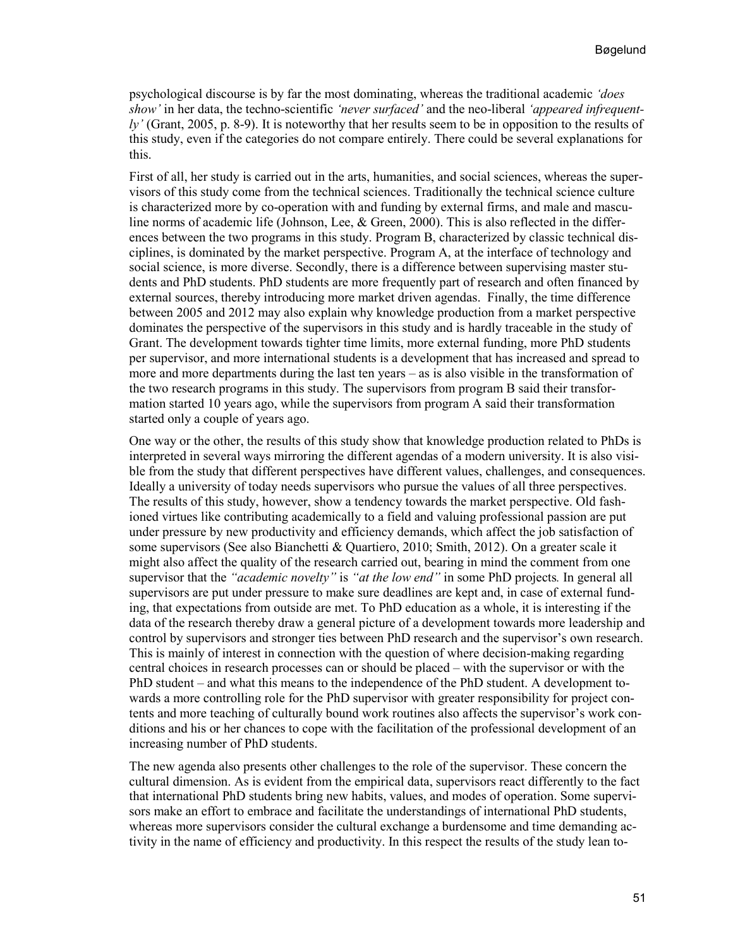psychological discourse is by far the most dominating, whereas the traditional academic *'does show'* in her data, the techno-scientific *'never surfaced'* and the neo-liberal *'appeared infrequently'* (Grant, 2005, p. 8-9). It is noteworthy that her results seem to be in opposition to the results of this study, even if the categories do not compare entirely. There could be several explanations for this.

First of all, her study is carried out in the arts, humanities, and social sciences, whereas the supervisors of this study come from the technical sciences. Traditionally the technical science culture is characterized more by co-operation with and funding by external firms, and male and masculine norms of academic life (Johnson, Lee, & Green, 2000). This is also reflected in the differences between the two programs in this study. Program B, characterized by classic technical disciplines, is dominated by the market perspective. Program A, at the interface of technology and social science, is more diverse. Secondly, there is a difference between supervising master students and PhD students. PhD students are more frequently part of research and often financed by external sources, thereby introducing more market driven agendas. Finally, the time difference between 2005 and 2012 may also explain why knowledge production from a market perspective dominates the perspective of the supervisors in this study and is hardly traceable in the study of Grant. The development towards tighter time limits, more external funding, more PhD students per supervisor, and more international students is a development that has increased and spread to more and more departments during the last ten years – as is also visible in the transformation of the two research programs in this study. The supervisors from program B said their transformation started 10 years ago, while the supervisors from program A said their transformation started only a couple of years ago.

One way or the other, the results of this study show that knowledge production related to PhDs is interpreted in several ways mirroring the different agendas of a modern university. It is also visible from the study that different perspectives have different values, challenges, and consequences. Ideally a university of today needs supervisors who pursue the values of all three perspectives. The results of this study, however, show a tendency towards the market perspective. Old fashioned virtues like contributing academically to a field and valuing professional passion are put under pressure by new productivity and efficiency demands, which affect the job satisfaction of some supervisors (See also Bianchetti & Quartiero, 2010; Smith, 2012). On a greater scale it might also affect the quality of the research carried out, bearing in mind the comment from one supervisor that the *"academic novelty"* is *"at the low end"* in some PhD projects*.* In general all supervisors are put under pressure to make sure deadlines are kept and, in case of external funding, that expectations from outside are met. To PhD education as a whole, it is interesting if the data of the research thereby draw a general picture of a development towards more leadership and control by supervisors and stronger ties between PhD research and the supervisor's own research. This is mainly of interest in connection with the question of where decision-making regarding central choices in research processes can or should be placed – with the supervisor or with the PhD student – and what this means to the independence of the PhD student. A development towards a more controlling role for the PhD supervisor with greater responsibility for project contents and more teaching of culturally bound work routines also affects the supervisor's work conditions and his or her chances to cope with the facilitation of the professional development of an increasing number of PhD students.

The new agenda also presents other challenges to the role of the supervisor. These concern the cultural dimension. As is evident from the empirical data, supervisors react differently to the fact that international PhD students bring new habits, values, and modes of operation. Some supervisors make an effort to embrace and facilitate the understandings of international PhD students, whereas more supervisors consider the cultural exchange a burdensome and time demanding activity in the name of efficiency and productivity. In this respect the results of the study lean to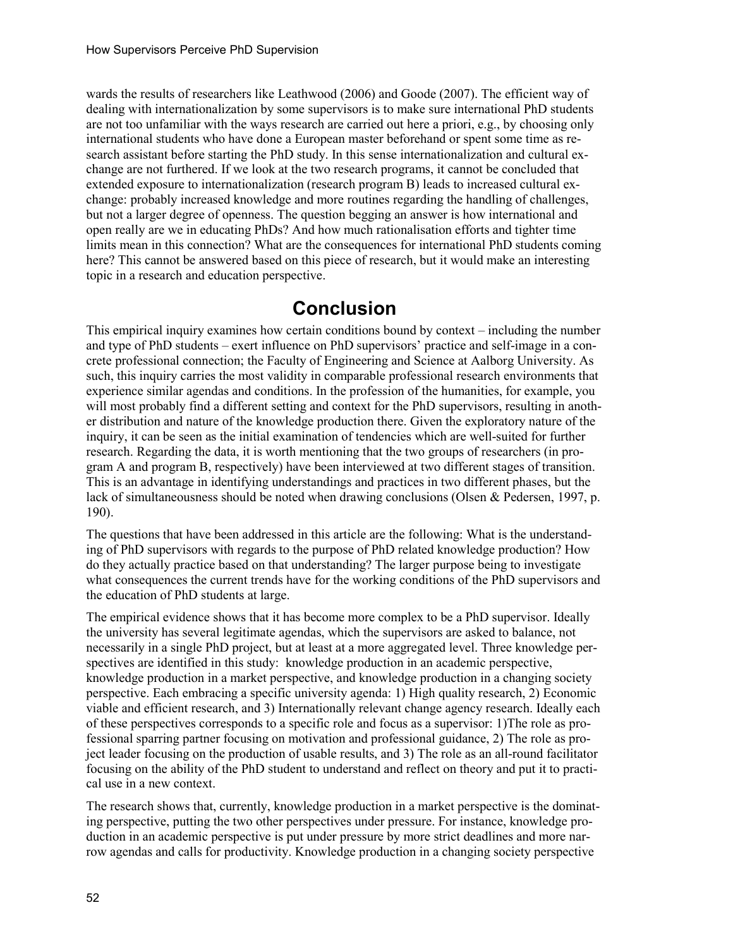wards the results of researchers like Leathwood (2006) and Goode (2007). The efficient way of dealing with internationalization by some supervisors is to make sure international PhD students are not too unfamiliar with the ways research are carried out here a priori, e.g., by choosing only international students who have done a European master beforehand or spent some time as research assistant before starting the PhD study. In this sense internationalization and cultural exchange are not furthered. If we look at the two research programs, it cannot be concluded that extended exposure to internationalization (research program B) leads to increased cultural exchange: probably increased knowledge and more routines regarding the handling of challenges, but not a larger degree of openness. The question begging an answer is how international and open really are we in educating PhDs? And how much rationalisation efforts and tighter time limits mean in this connection? What are the consequences for international PhD students coming here? This cannot be answered based on this piece of research, but it would make an interesting topic in a research and education perspective.

### **Conclusion**

This empirical inquiry examines how certain conditions bound by context – including the number and type of PhD students – exert influence on PhD supervisors' practice and self-image in a concrete professional connection; the Faculty of Engineering and Science at Aalborg University. As such, this inquiry carries the most validity in comparable professional research environments that experience similar agendas and conditions. In the profession of the humanities, for example, you will most probably find a different setting and context for the PhD supervisors, resulting in another distribution and nature of the knowledge production there. Given the exploratory nature of the inquiry, it can be seen as the initial examination of tendencies which are well-suited for further research. Regarding the data, it is worth mentioning that the two groups of researchers (in program A and program B, respectively) have been interviewed at two different stages of transition. This is an advantage in identifying understandings and practices in two different phases, but the lack of simultaneousness should be noted when drawing conclusions (Olsen & Pedersen, 1997, p. 190).

The questions that have been addressed in this article are the following: What is the understanding of PhD supervisors with regards to the purpose of PhD related knowledge production? How do they actually practice based on that understanding? The larger purpose being to investigate what consequences the current trends have for the working conditions of the PhD supervisors and the education of PhD students at large.

The empirical evidence shows that it has become more complex to be a PhD supervisor. Ideally the university has several legitimate agendas, which the supervisors are asked to balance, not necessarily in a single PhD project, but at least at a more aggregated level. Three knowledge perspectives are identified in this study: knowledge production in an academic perspective, knowledge production in a market perspective, and knowledge production in a changing society perspective. Each embracing a specific university agenda: 1) High quality research, 2) Economic viable and efficient research, and 3) Internationally relevant change agency research. Ideally each of these perspectives corresponds to a specific role and focus as a supervisor: 1)The role as professional sparring partner focusing on motivation and professional guidance, 2) The role as project leader focusing on the production of usable results, and 3) The role as an all-round facilitator focusing on the ability of the PhD student to understand and reflect on theory and put it to practical use in a new context.

The research shows that, currently, knowledge production in a market perspective is the dominating perspective, putting the two other perspectives under pressure. For instance, knowledge production in an academic perspective is put under pressure by more strict deadlines and more narrow agendas and calls for productivity. Knowledge production in a changing society perspective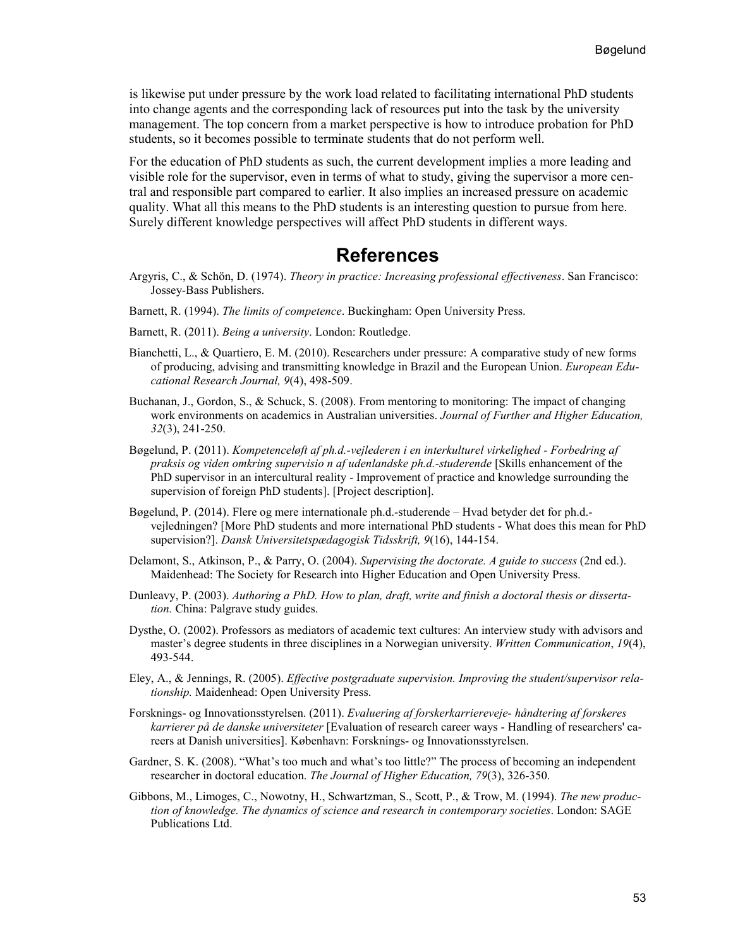is likewise put under pressure by the work load related to facilitating international PhD students into change agents and the corresponding lack of resources put into the task by the university management. The top concern from a market perspective is how to introduce probation for PhD students, so it becomes possible to terminate students that do not perform well.

For the education of PhD students as such, the current development implies a more leading and visible role for the supervisor, even in terms of what to study, giving the supervisor a more central and responsible part compared to earlier. It also implies an increased pressure on academic quality. What all this means to the PhD students is an interesting question to pursue from here. Surely different knowledge perspectives will affect PhD students in different ways.

#### **References**

- Argyris, C., & Schön, D. (1974). *Theory in practice: Increasing professional effectiveness*. San Francisco: Jossey-Bass Publishers.
- Barnett, R. (1994). *The limits of competence*. Buckingham: Open University Press.
- Barnett, R. (2011). *Being a university*. London: Routledge.
- Bianchetti, L., & Quartiero, E. M. (2010). Researchers under pressure: A comparative study of new forms of producing, advising and transmitting knowledge in Brazil and the European Union. *European Educational Research Journal, 9*(4), 498-509.
- Buchanan, J., Gordon, S., & Schuck, S. (2008). From mentoring to monitoring: The impact of changing work environments on academics in Australian universities. *Journal of Further and Higher Education, 32*(3), 241-250.
- Bøgelund, P. (2011). *Kompetenceløft af ph.d.-vejlederen i en interkulturel virkelighed - Forbedring af praksis og viden omkring supervisio n af udenlandske ph.d.-studerende* [Skills enhancement of the PhD supervisor in an intercultural reality - Improvement of practice and knowledge surrounding the supervision of foreign PhD students]. [Project description].
- Bøgelund, P. (2014). Flere og mere internationale ph.d.-studerende Hvad betyder det for ph.d. vejledningen? [More PhD students and more international PhD students - What does this mean for PhD supervision?]. *Dansk Universitetspædagogisk Tidsskrift, 9*(16), 144-154.
- Delamont, S., Atkinson, P., & Parry, O. (2004). *Supervising the doctorate. A guide to success* (2nd ed.). Maidenhead: The Society for Research into Higher Education and Open University Press.
- Dunleavy, P. (2003). *Authoring a PhD. How to plan, draft, write and finish a doctoral thesis or dissertation.* China: Palgrave study guides.
- Dysthe, O. (2002). Professors as mediators of academic text cultures: An interview study with advisors and master's degree students in three disciplines in a Norwegian university. *Written Communication*, *19*(4), 493-544.
- Eley, A., & Jennings, R. (2005). *Effective postgraduate supervision. Improving the student/supervisor relationship.* Maidenhead: Open University Press.
- Forsknings- og Innovationsstyrelsen. (2011). *Evaluering af forskerkarriereveje- håndtering af forskeres karrierer på de danske universiteter* [Evaluation of research career ways - Handling of researchers' careers at Danish universities]. København: Forsknings- og Innovationsstyrelsen.
- Gardner, S. K. (2008). "What's too much and what's too little?" The process of becoming an independent researcher in doctoral education. *The Journal of Higher Education, 79*(3), 326-350.
- Gibbons, M., Limoges, C., Nowotny, H., Schwartzman, S., Scott, P., & Trow, M. (1994). *The new production of knowledge. The dynamics of science and research in contemporary societies*. London: SAGE Publications Ltd.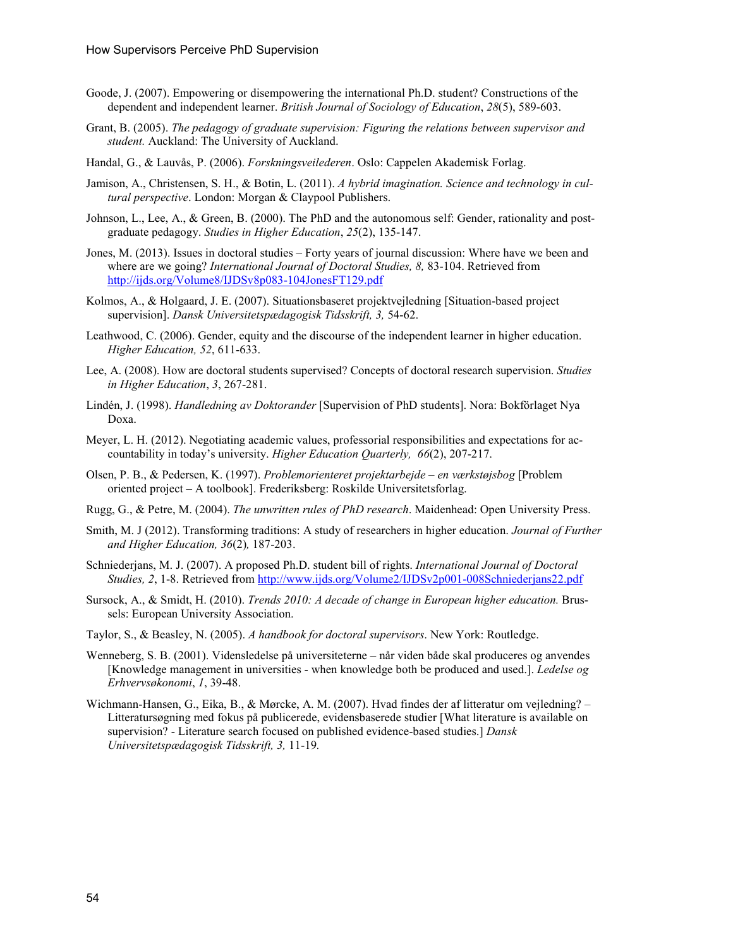- Goode, J. (2007). Empowering or disempowering the international Ph.D. student? Constructions of the dependent and independent learner. *British Journal of Sociology of Education*, *28*(5), 589-603.
- Grant, B. (2005). *The pedagogy of graduate supervision: Figuring the relations between supervisor and student.* Auckland: The University of Auckland.
- Handal, G., & Lauvås, P. (2006). *Forskningsveilederen*. Oslo: Cappelen Akademisk Forlag.
- Jamison, A., Christensen, S. H., & Botin, L. (2011). *A hybrid imagination. Science and technology in cultural perspective*. London: Morgan & Claypool Publishers.
- Johnson, L., Lee, A., & Green, B. (2000). The PhD and the autonomous self: Gender, rationality and postgraduate pedagogy. *Studies in Higher Education*, *25*(2), 135-147.
- Jones, M. (2013). Issues in doctoral studies Forty years of journal discussion: Where have we been and where are we going? *International Journal of Doctoral Studies, 8,* 83-104. Retrieved from <http://ijds.org/Volume8/IJDSv8p083-104JonesFT129.pdf>
- Kolmos, A., & Holgaard, J. E. (2007). Situationsbaseret projektvejledning [Situation-based project supervision]. *Dansk Universitetspædagogisk Tidsskrift, 3,* 54-62.
- Leathwood, C. (2006). Gender, equity and the discourse of the independent learner in higher education. *Higher Education, 52*, 611-633.
- Lee, A. (2008). How are doctoral students supervised? Concepts of doctoral research supervision. *Studies in Higher Education*, *3*, 267-281.
- Lindén, J. (1998). *Handledning av Doktorander* [Supervision of PhD students]. Nora: Bokförlaget Nya Doxa.
- Meyer, L. H. (2012). Negotiating academic values, professorial responsibilities and expectations for accountability in today's university. *Higher Education Quarterly, 66*(2), 207-217.
- Olsen, P. B., & Pedersen, K. (1997). *Problemorienteret projektarbejde – en værkstøjsbog* [Problem oriented project – A toolbook]. Frederiksberg: Roskilde Universitetsforlag.
- Rugg, G., & Petre, M. (2004). *The unwritten rules of PhD research*. Maidenhead: Open University Press.
- Smith, M. J (2012). Transforming traditions: A study of researchers in higher education. *Journal of Further and Higher Education, 36*(2)*,* 187-203.
- Schniederjans, M. J. (2007). A proposed Ph.D. student bill of rights. *International Journal of Doctoral Studies, 2*, 1-8. Retrieved from<http://www.ijds.org/Volume2/IJDSv2p001-008Schniederjans22.pdf>
- Sursock, A., & Smidt, H. (2010). *Trends 2010: A decade of change in European higher education.* Brussels: European University Association.
- Taylor, S., & Beasley, N. (2005). *A handbook for doctoral supervisors*. New York: Routledge.
- Wenneberg, S. B. (2001). Vidensledelse på universiteterne når viden både skal produceres og anvendes [Knowledge management in universities - when knowledge both be produced and used.]. *Ledelse og Erhvervsøkonomi*, *1*, 39-48.
- Wichmann-Hansen, G., Eika, B., & Mørcke, A. M. (2007). Hvad findes der af litteratur om vejledning? Litteratursøgning med fokus på publicerede, evidensbaserede studier [What literature is available on supervision? - Literature search focused on published evidence-based studies.] *Dansk Universitetspædagogisk Tidsskrift, 3,* 11-19*.*